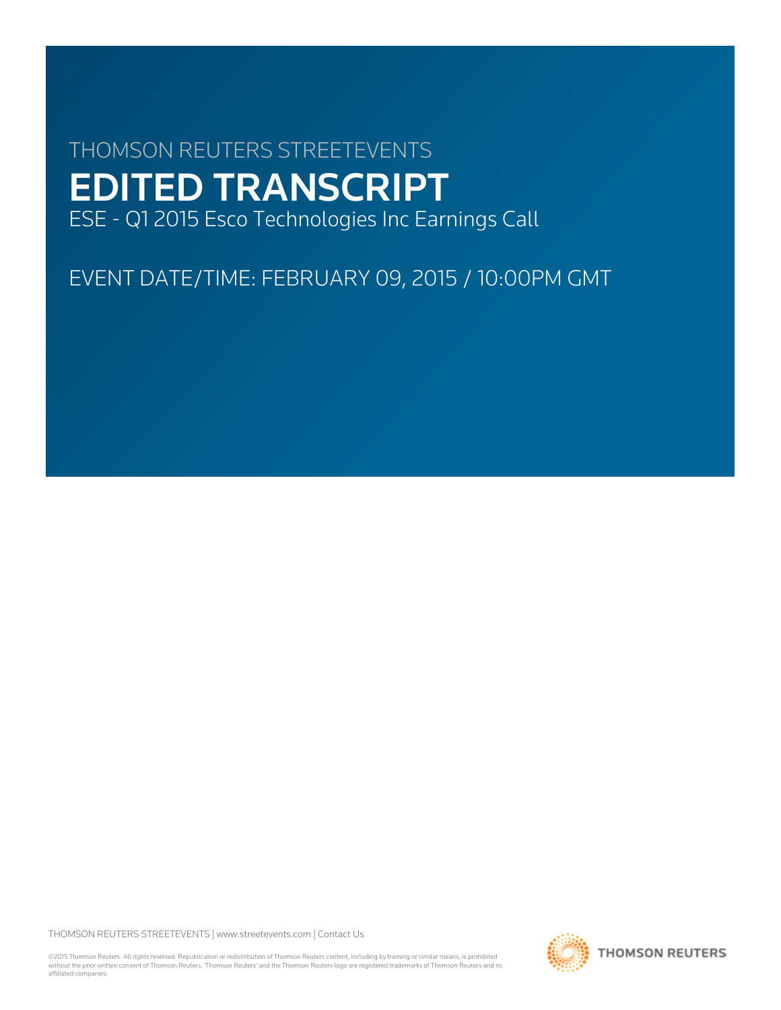# THOMSON REUTERS STREETEVENTS EDITED TRANSCRIPT ESE - Q1 2015 Esco Technologies Inc Earnings Call

EVENT DATE/TIME: FEBRUARY 09, 2015 / 10:00PM GMT

THOMSON REUTERS STREETEVENTS | [www.streetevents.com](http://www.streetevents.com) | [Contact Us](http://www010.streetevents.com/contact.asp)

©2015 Thomson Reuters. All rights reserved. Republication or redistribution of Thomson Reuters content, including by framing or similar means, is prohibited without the prior written consent of Thomson Reuters. 'Thomson Reuters' and the Thomson Reuters logo are registered trademarks of Thomson Reuters and its affiliated companies.

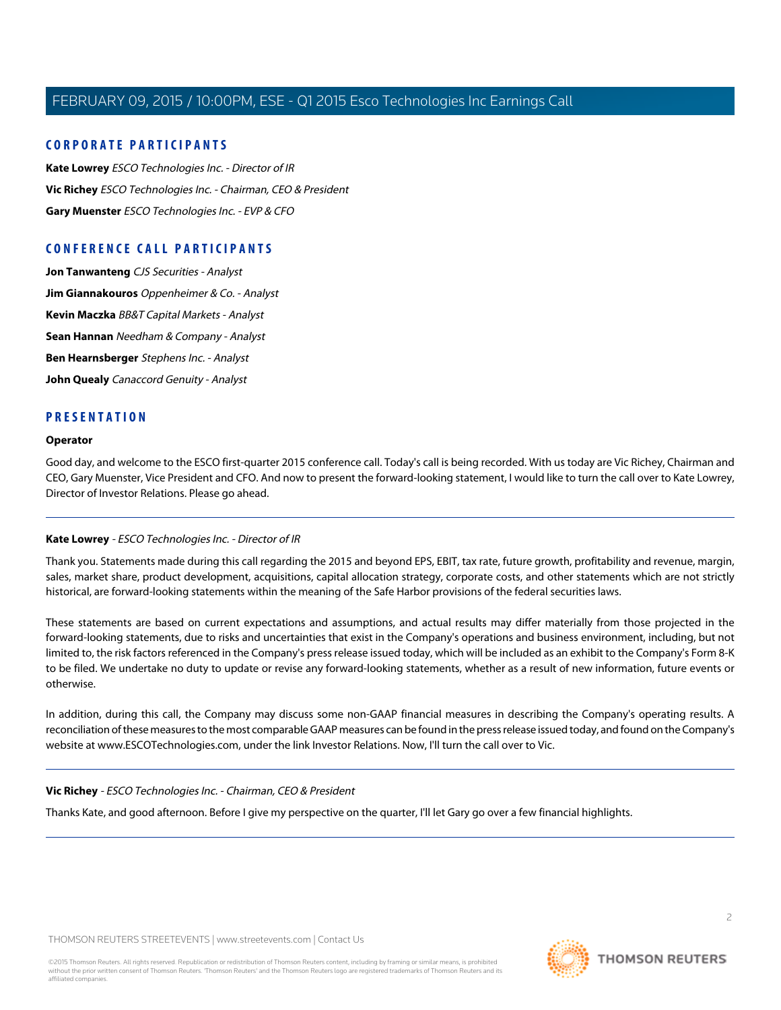# **CORPORATE PARTICIPANTS**

**[Kate Lowrey](#page-1-0)** ESCO Technologies Inc. - Director of IR **[Vic Richey](#page-1-1)** ESCO Technologies Inc. - Chairman, CEO & President **[Gary Muenster](#page-2-0)** ESCO Technologies Inc. - EVP & CFO

# **CONFERENCE CALL PARTICIPANTS**

**[Jon Tanwanteng](#page-4-0)** CJS Securities - Analyst **[Jim Giannakouros](#page-5-0)** Oppenheimer & Co. - Analyst **[Kevin Maczka](#page-7-0)** BB&T Capital Markets - Analyst **[Sean Hannan](#page-9-0)** Needham & Company - Analyst **[Ben Hearnsberger](#page-11-0)** Stephens Inc. - Analyst **[John Quealy](#page-13-0)** Canaccord Genuity - Analyst

# **PRESENTATION**

#### **Operator**

<span id="page-1-0"></span>Good day, and welcome to the ESCO first-quarter 2015 conference call. Today's call is being recorded. With us today are Vic Richey, Chairman and CEO, Gary Muenster, Vice President and CFO. And now to present the forward-looking statement, I would like to turn the call over to Kate Lowrey, Director of Investor Relations. Please go ahead.

# **Kate Lowrey** - ESCO Technologies Inc. - Director of IR

Thank you. Statements made during this call regarding the 2015 and beyond EPS, EBIT, tax rate, future growth, profitability and revenue, margin, sales, market share, product development, acquisitions, capital allocation strategy, corporate costs, and other statements which are not strictly historical, are forward-looking statements within the meaning of the Safe Harbor provisions of the federal securities laws.

These statements are based on current expectations and assumptions, and actual results may differ materially from those projected in the forward-looking statements, due to risks and uncertainties that exist in the Company's operations and business environment, including, but not limited to, the risk factors referenced in the Company's press release issued today, which will be included as an exhibit to the Company's Form 8-K to be filed. We undertake no duty to update or revise any forward-looking statements, whether as a result of new information, future events or otherwise.

<span id="page-1-1"></span>In addition, during this call, the Company may discuss some non-GAAP financial measures in describing the Company's operating results. A reconciliation of these measures to the most comparable GAAP measures can be found in the press release issued today, and found on the Company's website at www.ESCOTechnologies.com, under the link Investor Relations. Now, I'll turn the call over to Vic.

#### **Vic Richey** - ESCO Technologies Inc. - Chairman, CEO & President

Thanks Kate, and good afternoon. Before I give my perspective on the quarter, I'll let Gary go over a few financial highlights.



 $\overline{2}$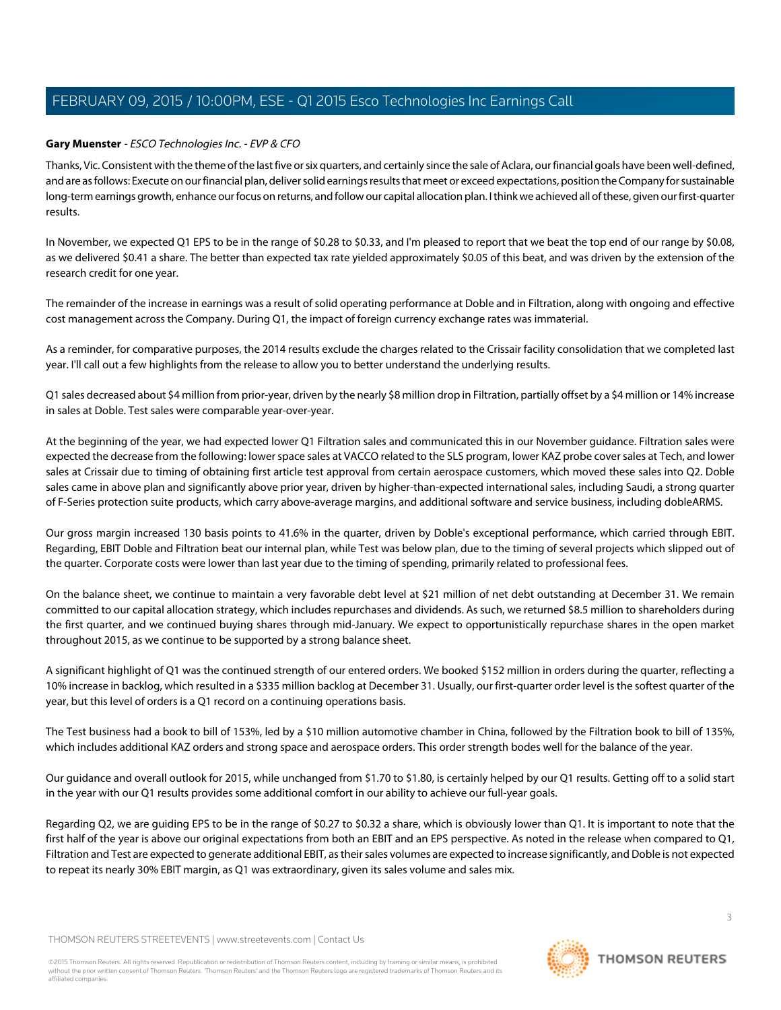## <span id="page-2-0"></span>**Gary Muenster** - ESCO Technologies Inc. - EVP & CFO

Thanks, Vic. Consistent with the theme of the last five or six quarters, and certainly since the sale of Aclara, our financial goals have been well-defined, and are as follows: Execute on our financial plan, deliver solid earnings results that meet or exceed expectations, position the Company for sustainable long-term earnings growth, enhance our focus on returns, and follow our capital allocation plan. I think we achieved all of these, given our first-quarter results.

In November, we expected Q1 EPS to be in the range of \$0.28 to \$0.33, and I'm pleased to report that we beat the top end of our range by \$0.08, as we delivered \$0.41 a share. The better than expected tax rate yielded approximately \$0.05 of this beat, and was driven by the extension of the research credit for one year.

The remainder of the increase in earnings was a result of solid operating performance at Doble and in Filtration, along with ongoing and effective cost management across the Company. During Q1, the impact of foreign currency exchange rates was immaterial.

As a reminder, for comparative purposes, the 2014 results exclude the charges related to the Crissair facility consolidation that we completed last year. I'll call out a few highlights from the release to allow you to better understand the underlying results.

Q1 sales decreased about \$4 million from prior-year, driven by the nearly \$8 million drop in Filtration, partially offset by a \$4 million or 14% increase in sales at Doble. Test sales were comparable year-over-year.

At the beginning of the year, we had expected lower Q1 Filtration sales and communicated this in our November guidance. Filtration sales were expected the decrease from the following: lower space sales at VACCO related to the SLS program, lower KAZ probe cover sales at Tech, and lower sales at Crissair due to timing of obtaining first article test approval from certain aerospace customers, which moved these sales into Q2. Doble sales came in above plan and significantly above prior year, driven by higher-than-expected international sales, including Saudi, a strong quarter of F-Series protection suite products, which carry above-average margins, and additional software and service business, including dobleARMS.

Our gross margin increased 130 basis points to 41.6% in the quarter, driven by Doble's exceptional performance, which carried through EBIT. Regarding, EBIT Doble and Filtration beat our internal plan, while Test was below plan, due to the timing of several projects which slipped out of the quarter. Corporate costs were lower than last year due to the timing of spending, primarily related to professional fees.

On the balance sheet, we continue to maintain a very favorable debt level at \$21 million of net debt outstanding at December 31. We remain committed to our capital allocation strategy, which includes repurchases and dividends. As such, we returned \$8.5 million to shareholders during the first quarter, and we continued buying shares through mid-January. We expect to opportunistically repurchase shares in the open market throughout 2015, as we continue to be supported by a strong balance sheet.

A significant highlight of Q1 was the continued strength of our entered orders. We booked \$152 million in orders during the quarter, reflecting a 10% increase in backlog, which resulted in a \$335 million backlog at December 31. Usually, our first-quarter order level is the softest quarter of the year, but this level of orders is a Q1 record on a continuing operations basis.

The Test business had a book to bill of 153%, led by a \$10 million automotive chamber in China, followed by the Filtration book to bill of 135%, which includes additional KAZ orders and strong space and aerospace orders. This order strength bodes well for the balance of the year.

Our guidance and overall outlook for 2015, while unchanged from \$1.70 to \$1.80, is certainly helped by our Q1 results. Getting off to a solid start in the year with our Q1 results provides some additional comfort in our ability to achieve our full-year goals.

Regarding Q2, we are guiding EPS to be in the range of \$0.27 to \$0.32 a share, which is obviously lower than Q1. It is important to note that the first half of the year is above our original expectations from both an EBIT and an EPS perspective. As noted in the release when compared to Q1, Filtration and Test are expected to generate additional EBIT, as their sales volumes are expected to increase significantly, and Doble is not expected to repeat its nearly 30% EBIT margin, as Q1 was extraordinary, given its sales volume and sales mix.

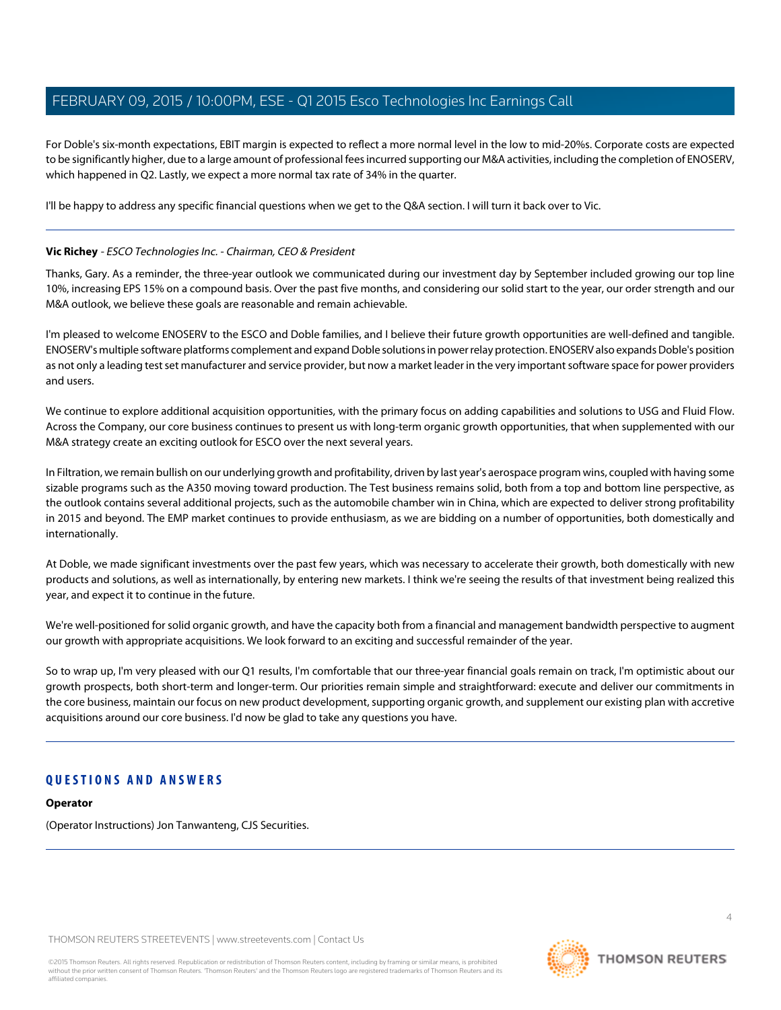For Doble's six-month expectations, EBIT margin is expected to reflect a more normal level in the low to mid-20%s. Corporate costs are expected to be significantly higher, due to a large amount of professional fees incurred supporting our M&A activities, including the completion of ENOSERV, which happened in Q2. Lastly, we expect a more normal tax rate of 34% in the quarter.

I'll be happy to address any specific financial questions when we get to the Q&A section. I will turn it back over to Vic.

## **Vic Richey** - ESCO Technologies Inc. - Chairman, CEO & President

Thanks, Gary. As a reminder, the three-year outlook we communicated during our investment day by September included growing our top line 10%, increasing EPS 15% on a compound basis. Over the past five months, and considering our solid start to the year, our order strength and our M&A outlook, we believe these goals are reasonable and remain achievable.

I'm pleased to welcome ENOSERV to the ESCO and Doble families, and I believe their future growth opportunities are well-defined and tangible. ENOSERV's multiple software platforms complement and expand Doble solutions in power relay protection. ENOSERV also expands Doble's position as not only a leading test set manufacturer and service provider, but now a market leader in the very important software space for power providers and users.

We continue to explore additional acquisition opportunities, with the primary focus on adding capabilities and solutions to USG and Fluid Flow. Across the Company, our core business continues to present us with long-term organic growth opportunities, that when supplemented with our M&A strategy create an exciting outlook for ESCO over the next several years.

In Filtration, we remain bullish on our underlying growth and profitability, driven by last year's aerospace program wins, coupled with having some sizable programs such as the A350 moving toward production. The Test business remains solid, both from a top and bottom line perspective, as the outlook contains several additional projects, such as the automobile chamber win in China, which are expected to deliver strong profitability in 2015 and beyond. The EMP market continues to provide enthusiasm, as we are bidding on a number of opportunities, both domestically and internationally.

At Doble, we made significant investments over the past few years, which was necessary to accelerate their growth, both domestically with new products and solutions, as well as internationally, by entering new markets. I think we're seeing the results of that investment being realized this year, and expect it to continue in the future.

We're well-positioned for solid organic growth, and have the capacity both from a financial and management bandwidth perspective to augment our growth with appropriate acquisitions. We look forward to an exciting and successful remainder of the year.

So to wrap up, I'm very pleased with our Q1 results, I'm comfortable that our three-year financial goals remain on track, I'm optimistic about our growth prospects, both short-term and longer-term. Our priorities remain simple and straightforward: execute and deliver our commitments in the core business, maintain our focus on new product development, supporting organic growth, and supplement our existing plan with accretive acquisitions around our core business. I'd now be glad to take any questions you have.

# **QUESTIONS AND ANSWERS**

# **Operator**

(Operator Instructions) Jon Tanwanteng, CJS Securities.

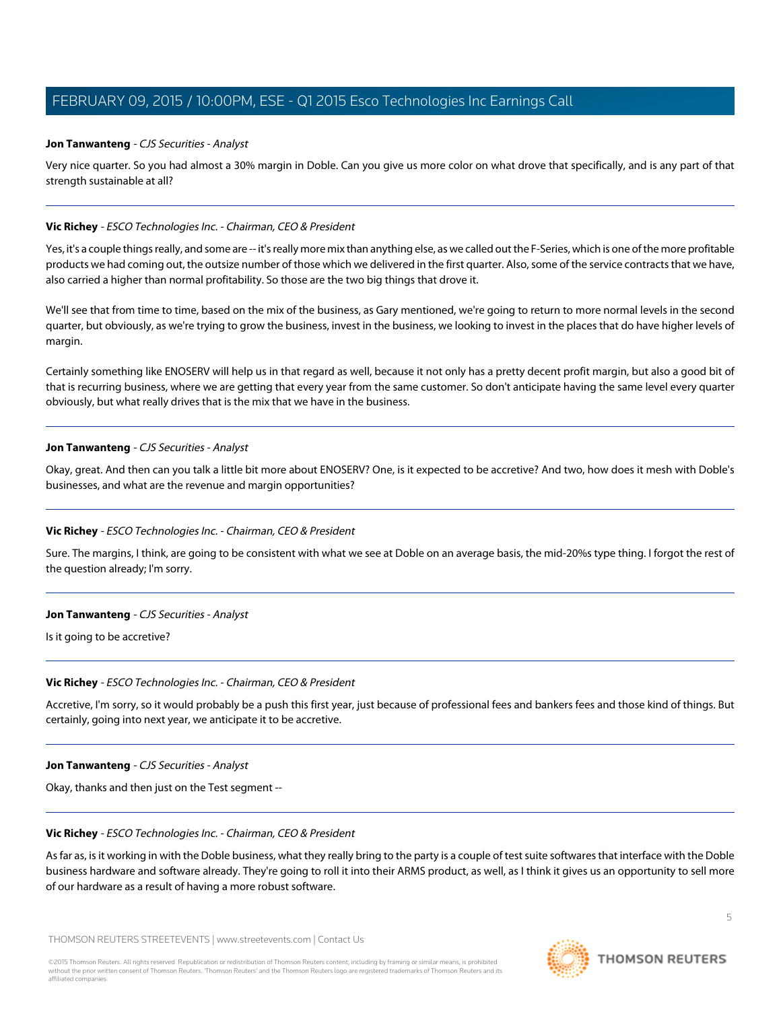#### <span id="page-4-0"></span>**Jon Tanwanteng** - CJS Securities - Analyst

Very nice quarter. So you had almost a 30% margin in Doble. Can you give us more color on what drove that specifically, and is any part of that strength sustainable at all?

#### **Vic Richey** - ESCO Technologies Inc. - Chairman, CEO & President

Yes, it's a couple things really, and some are -- it's really more mix than anything else, as we called out the F-Series, which is one of the more profitable products we had coming out, the outsize number of those which we delivered in the first quarter. Also, some of the service contracts that we have, also carried a higher than normal profitability. So those are the two big things that drove it.

We'll see that from time to time, based on the mix of the business, as Gary mentioned, we're going to return to more normal levels in the second quarter, but obviously, as we're trying to grow the business, invest in the business, we looking to invest in the places that do have higher levels of margin.

Certainly something like ENOSERV will help us in that regard as well, because it not only has a pretty decent profit margin, but also a good bit of that is recurring business, where we are getting that every year from the same customer. So don't anticipate having the same level every quarter obviously, but what really drives that is the mix that we have in the business.

#### **Jon Tanwanteng** - CJS Securities - Analyst

Okay, great. And then can you talk a little bit more about ENOSERV? One, is it expected to be accretive? And two, how does it mesh with Doble's businesses, and what are the revenue and margin opportunities?

#### **Vic Richey** - ESCO Technologies Inc. - Chairman, CEO & President

Sure. The margins, I think, are going to be consistent with what we see at Doble on an average basis, the mid-20%s type thing. I forgot the rest of the question already; I'm sorry.

#### **Jon Tanwanteng** - CJS Securities - Analyst

Is it going to be accretive?

#### **Vic Richey** - ESCO Technologies Inc. - Chairman, CEO & President

Accretive, I'm sorry, so it would probably be a push this first year, just because of professional fees and bankers fees and those kind of things. But certainly, going into next year, we anticipate it to be accretive.

#### **Jon Tanwanteng** - CJS Securities - Analyst

Okay, thanks and then just on the Test segment --

#### **Vic Richey** - ESCO Technologies Inc. - Chairman, CEO & President

As far as, is it working in with the Doble business, what they really bring to the party is a couple of test suite softwares that interface with the Doble business hardware and software already. They're going to roll it into their ARMS product, as well, as I think it gives us an opportunity to sell more of our hardware as a result of having a more robust software.

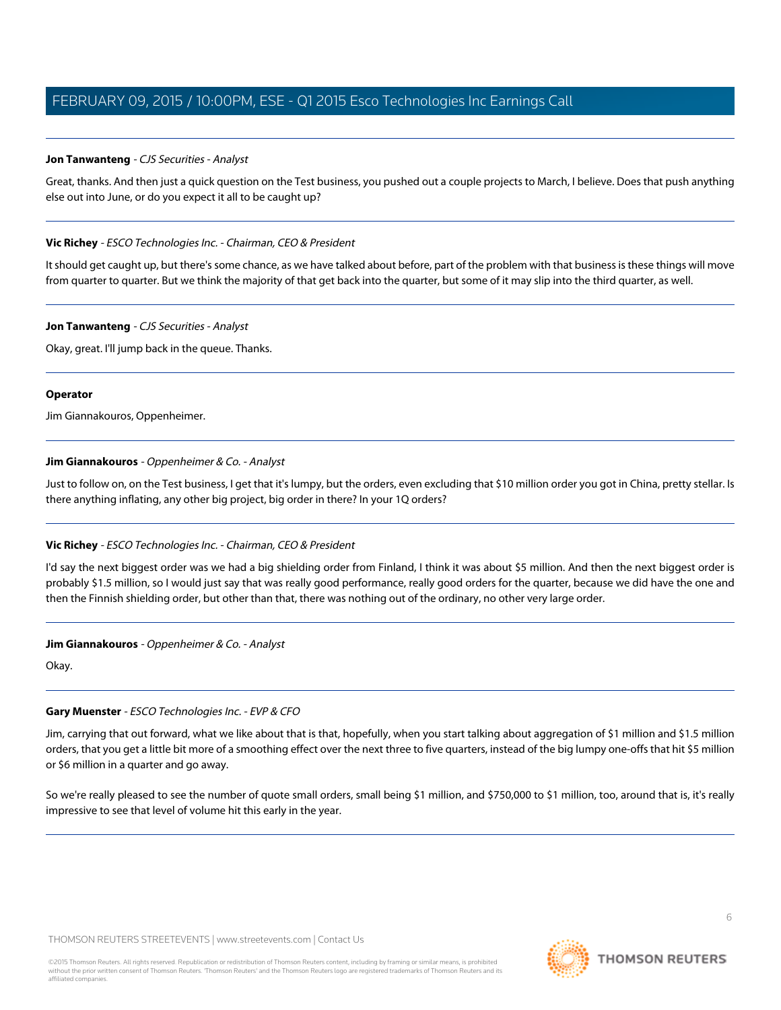# **Jon Tanwanteng** - CJS Securities - Analyst

Great, thanks. And then just a quick question on the Test business, you pushed out a couple projects to March, I believe. Does that push anything else out into June, or do you expect it all to be caught up?

## **Vic Richey** - ESCO Technologies Inc. - Chairman, CEO & President

It should get caught up, but there's some chance, as we have talked about before, part of the problem with that business is these things will move from quarter to quarter. But we think the majority of that get back into the quarter, but some of it may slip into the third quarter, as well.

## **Jon Tanwanteng** - CJS Securities - Analyst

Okay, great. I'll jump back in the queue. Thanks.

## **Operator**

<span id="page-5-0"></span>Jim Giannakouros, Oppenheimer.

# **Jim Giannakouros** - Oppenheimer & Co. - Analyst

Just to follow on, on the Test business, I get that it's lumpy, but the orders, even excluding that \$10 million order you got in China, pretty stellar. Is there anything inflating, any other big project, big order in there? In your 1Q orders?

# **Vic Richey** - ESCO Technologies Inc. - Chairman, CEO & President

I'd say the next biggest order was we had a big shielding order from Finland, I think it was about \$5 million. And then the next biggest order is probably \$1.5 million, so I would just say that was really good performance, really good orders for the quarter, because we did have the one and then the Finnish shielding order, but other than that, there was nothing out of the ordinary, no other very large order.

# **Jim Giannakouros** - Oppenheimer & Co. - Analyst

Okay.

# **Gary Muenster** - ESCO Technologies Inc. - EVP & CFO

Jim, carrying that out forward, what we like about that is that, hopefully, when you start talking about aggregation of \$1 million and \$1.5 million orders, that you get a little bit more of a smoothing effect over the next three to five quarters, instead of the big lumpy one-offs that hit \$5 million or \$6 million in a quarter and go away.

So we're really pleased to see the number of quote small orders, small being \$1 million, and \$750,000 to \$1 million, too, around that is, it's really impressive to see that level of volume hit this early in the year.

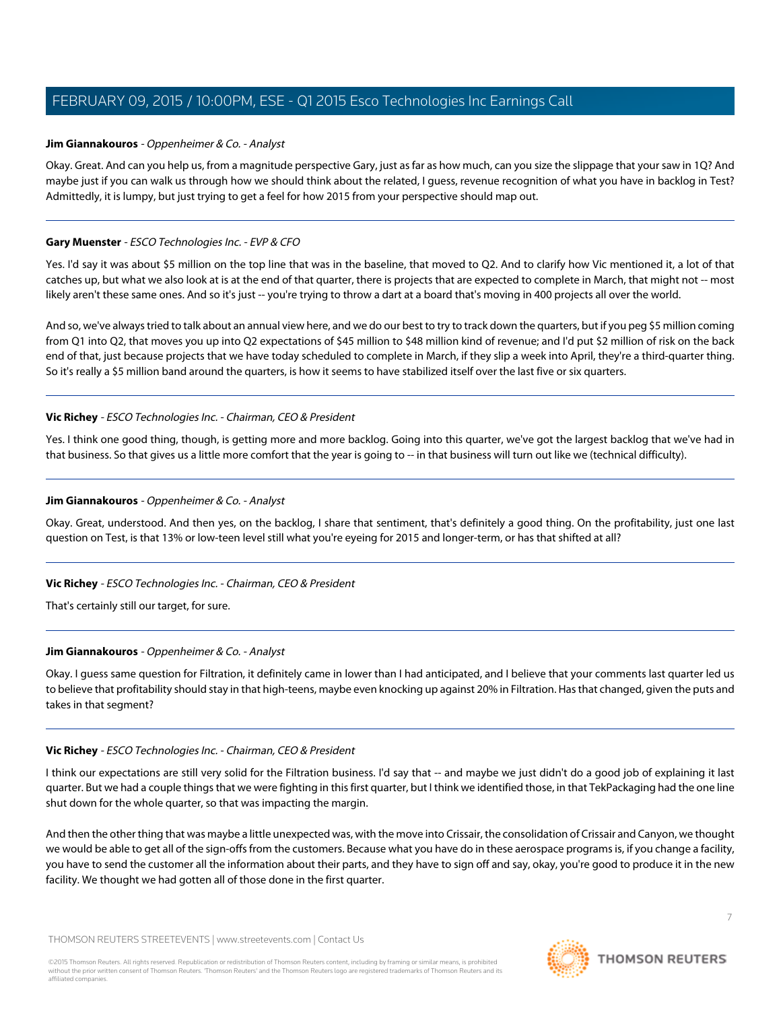## **Jim Giannakouros** - Oppenheimer & Co. - Analyst

Okay. Great. And can you help us, from a magnitude perspective Gary, just as far as how much, can you size the slippage that your saw in 1Q? And maybe just if you can walk us through how we should think about the related, I guess, revenue recognition of what you have in backlog in Test? Admittedly, it is lumpy, but just trying to get a feel for how 2015 from your perspective should map out.

## **Gary Muenster** - ESCO Technologies Inc. - EVP & CFO

Yes. I'd say it was about \$5 million on the top line that was in the baseline, that moved to Q2. And to clarify how Vic mentioned it, a lot of that catches up, but what we also look at is at the end of that quarter, there is projects that are expected to complete in March, that might not -- most likely aren't these same ones. And so it's just -- you're trying to throw a dart at a board that's moving in 400 projects all over the world.

And so, we've always tried to talk about an annual view here, and we do our best to try to track down the quarters, but if you peg \$5 million coming from Q1 into Q2, that moves you up into Q2 expectations of \$45 million to \$48 million kind of revenue; and I'd put \$2 million of risk on the back end of that, just because projects that we have today scheduled to complete in March, if they slip a week into April, they're a third-quarter thing. So it's really a \$5 million band around the quarters, is how it seems to have stabilized itself over the last five or six quarters.

## **Vic Richey** - ESCO Technologies Inc. - Chairman, CEO & President

Yes. I think one good thing, though, is getting more and more backlog. Going into this quarter, we've got the largest backlog that we've had in that business. So that gives us a little more comfort that the year is going to -- in that business will turn out like we (technical difficulty).

## **Jim Giannakouros** - Oppenheimer & Co. - Analyst

Okay. Great, understood. And then yes, on the backlog, I share that sentiment, that's definitely a good thing. On the profitability, just one last question on Test, is that 13% or low-teen level still what you're eyeing for 2015 and longer-term, or has that shifted at all?

# **Vic Richey** - ESCO Technologies Inc. - Chairman, CEO & President

That's certainly still our target, for sure.

# **Jim Giannakouros** - Oppenheimer & Co. - Analyst

Okay. I guess same question for Filtration, it definitely came in lower than I had anticipated, and I believe that your comments last quarter led us to believe that profitability should stay in that high-teens, maybe even knocking up against 20% in Filtration. Has that changed, given the puts and takes in that segment?

# **Vic Richey** - ESCO Technologies Inc. - Chairman, CEO & President

I think our expectations are still very solid for the Filtration business. I'd say that -- and maybe we just didn't do a good job of explaining it last quarter. But we had a couple things that we were fighting in this first quarter, but I think we identified those, in that TekPackaging had the one line shut down for the whole quarter, so that was impacting the margin.

And then the other thing that was maybe a little unexpected was, with the move into Crissair, the consolidation of Crissair and Canyon, we thought we would be able to get all of the sign-offs from the customers. Because what you have do in these aerospace programs is, if you change a facility, you have to send the customer all the information about their parts, and they have to sign off and say, okay, you're good to produce it in the new facility. We thought we had gotten all of those done in the first quarter.

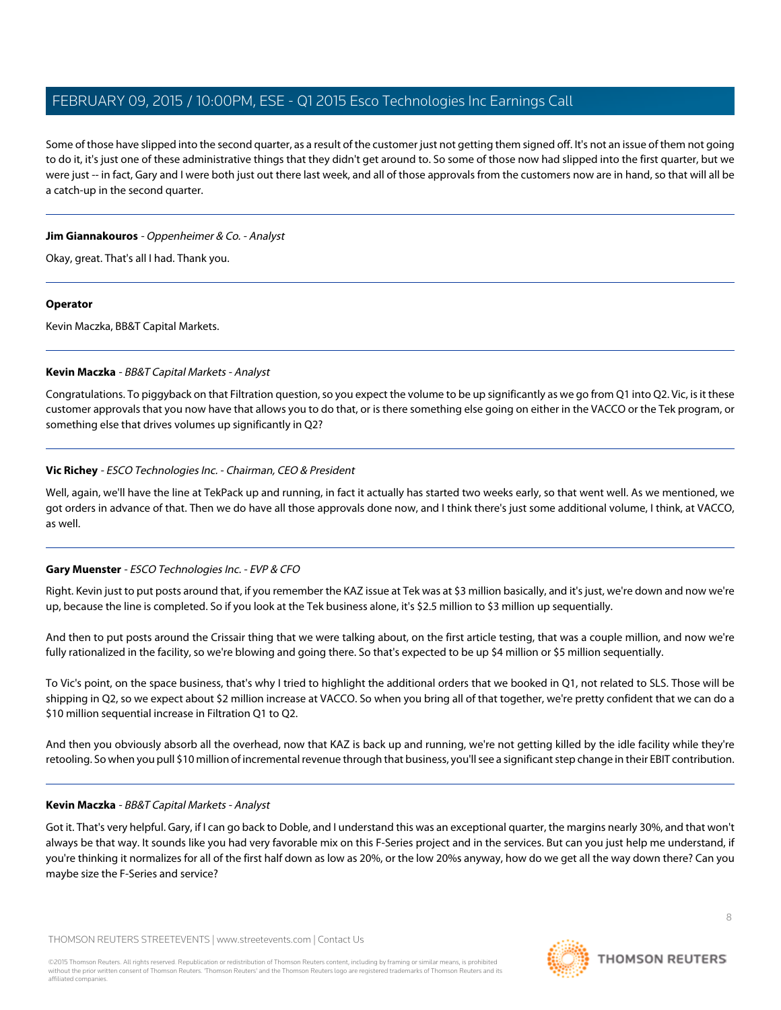Some of those have slipped into the second quarter, as a result of the customer just not getting them signed off. It's not an issue of them not going to do it, it's just one of these administrative things that they didn't get around to. So some of those now had slipped into the first quarter, but we were just -- in fact, Gary and I were both just out there last week, and all of those approvals from the customers now are in hand, so that will all be a catch-up in the second quarter.

#### **Jim Giannakouros** - Oppenheimer & Co. - Analyst

Okay, great. That's all I had. Thank you.

## **Operator**

<span id="page-7-0"></span>Kevin Maczka, BB&T Capital Markets.

# **Kevin Maczka** - BB&T Capital Markets - Analyst

Congratulations. To piggyback on that Filtration question, so you expect the volume to be up significantly as we go from Q1 into Q2. Vic, is it these customer approvals that you now have that allows you to do that, or is there something else going on either in the VACCO or the Tek program, or something else that drives volumes up significantly in Q2?

# **Vic Richey** - ESCO Technologies Inc. - Chairman, CEO & President

Well, again, we'll have the line at TekPack up and running, in fact it actually has started two weeks early, so that went well. As we mentioned, we got orders in advance of that. Then we do have all those approvals done now, and I think there's just some additional volume, I think, at VACCO, as well.

# **Gary Muenster** - ESCO Technologies Inc. - EVP & CFO

Right. Kevin just to put posts around that, if you remember the KAZ issue at Tek was at \$3 million basically, and it's just, we're down and now we're up, because the line is completed. So if you look at the Tek business alone, it's \$2.5 million to \$3 million up sequentially.

And then to put posts around the Crissair thing that we were talking about, on the first article testing, that was a couple million, and now we're fully rationalized in the facility, so we're blowing and going there. So that's expected to be up \$4 million or \$5 million sequentially.

To Vic's point, on the space business, that's why I tried to highlight the additional orders that we booked in Q1, not related to SLS. Those will be shipping in Q2, so we expect about \$2 million increase at VACCO. So when you bring all of that together, we're pretty confident that we can do a \$10 million sequential increase in Filtration Q1 to Q2.

And then you obviously absorb all the overhead, now that KAZ is back up and running, we're not getting killed by the idle facility while they're retooling. So when you pull \$10 million of incremental revenue through that business, you'll see a significant step change in their EBIT contribution.

# **Kevin Maczka** - BB&T Capital Markets - Analyst

Got it. That's very helpful. Gary, if I can go back to Doble, and I understand this was an exceptional quarter, the margins nearly 30%, and that won't always be that way. It sounds like you had very favorable mix on this F-Series project and in the services. But can you just help me understand, if you're thinking it normalizes for all of the first half down as low as 20%, or the low 20%s anyway, how do we get all the way down there? Can you maybe size the F-Series and service?

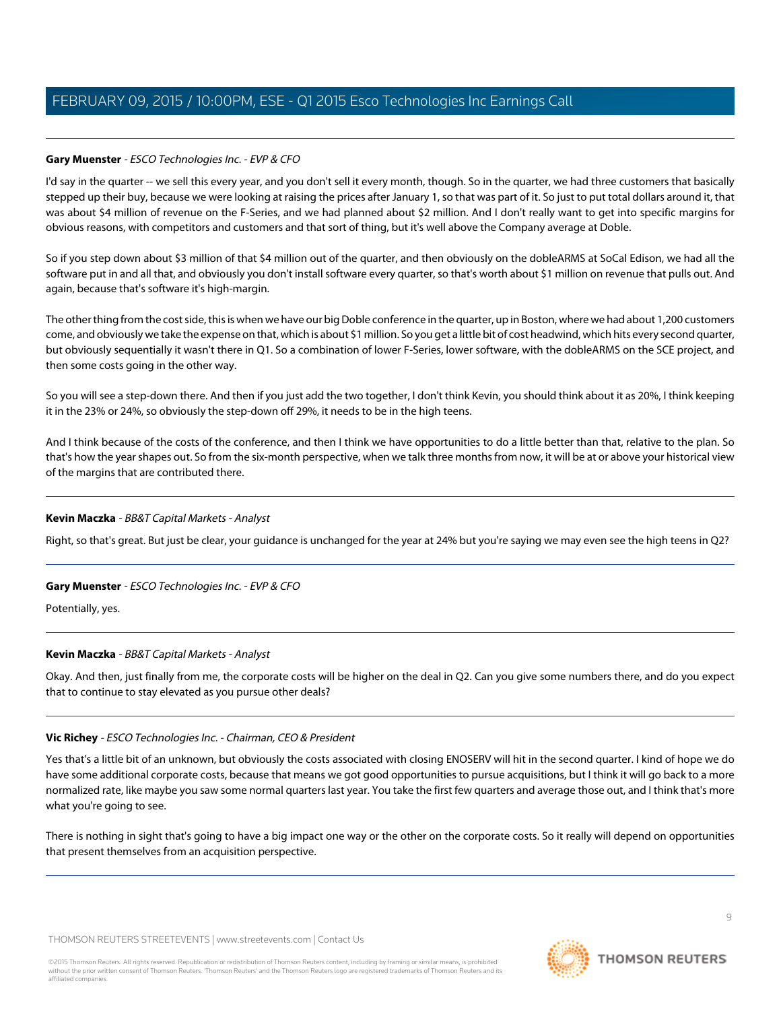# **Gary Muenster** - ESCO Technologies Inc. - EVP & CFO

I'd say in the quarter -- we sell this every year, and you don't sell it every month, though. So in the quarter, we had three customers that basically stepped up their buy, because we were looking at raising the prices after January 1, so that was part of it. So just to put total dollars around it, that was about \$4 million of revenue on the F-Series, and we had planned about \$2 million. And I don't really want to get into specific margins for obvious reasons, with competitors and customers and that sort of thing, but it's well above the Company average at Doble.

So if you step down about \$3 million of that \$4 million out of the quarter, and then obviously on the dobleARMS at SoCal Edison, we had all the software put in and all that, and obviously you don't install software every quarter, so that's worth about \$1 million on revenue that pulls out. And again, because that's software it's high-margin.

The other thing from the cost side, this is when we have our big Doble conference in the quarter, up in Boston, where we had about 1,200 customers come, and obviously we take the expense on that, which is about \$1 million. So you get a little bit of cost headwind, which hits every second quarter, but obviously sequentially it wasn't there in Q1. So a combination of lower F-Series, lower software, with the dobleARMS on the SCE project, and then some costs going in the other way.

So you will see a step-down there. And then if you just add the two together, I don't think Kevin, you should think about it as 20%, I think keeping it in the 23% or 24%, so obviously the step-down off 29%, it needs to be in the high teens.

And I think because of the costs of the conference, and then I think we have opportunities to do a little better than that, relative to the plan. So that's how the year shapes out. So from the six-month perspective, when we talk three months from now, it will be at or above your historical view of the margins that are contributed there.

# **Kevin Maczka** - BB&T Capital Markets - Analyst

Right, so that's great. But just be clear, your guidance is unchanged for the year at 24% but you're saying we may even see the high teens in Q2?

# **Gary Muenster** - ESCO Technologies Inc. - EVP & CFO

Potentially, yes.

# **Kevin Maczka** - BB&T Capital Markets - Analyst

Okay. And then, just finally from me, the corporate costs will be higher on the deal in Q2. Can you give some numbers there, and do you expect that to continue to stay elevated as you pursue other deals?

# **Vic Richey** - ESCO Technologies Inc. - Chairman, CEO & President

Yes that's a little bit of an unknown, but obviously the costs associated with closing ENOSERV will hit in the second quarter. I kind of hope we do have some additional corporate costs, because that means we got good opportunities to pursue acquisitions, but I think it will go back to a more normalized rate, like maybe you saw some normal quarters last year. You take the first few quarters and average those out, and I think that's more what you're going to see.

There is nothing in sight that's going to have a big impact one way or the other on the corporate costs. So it really will depend on opportunities that present themselves from an acquisition perspective.

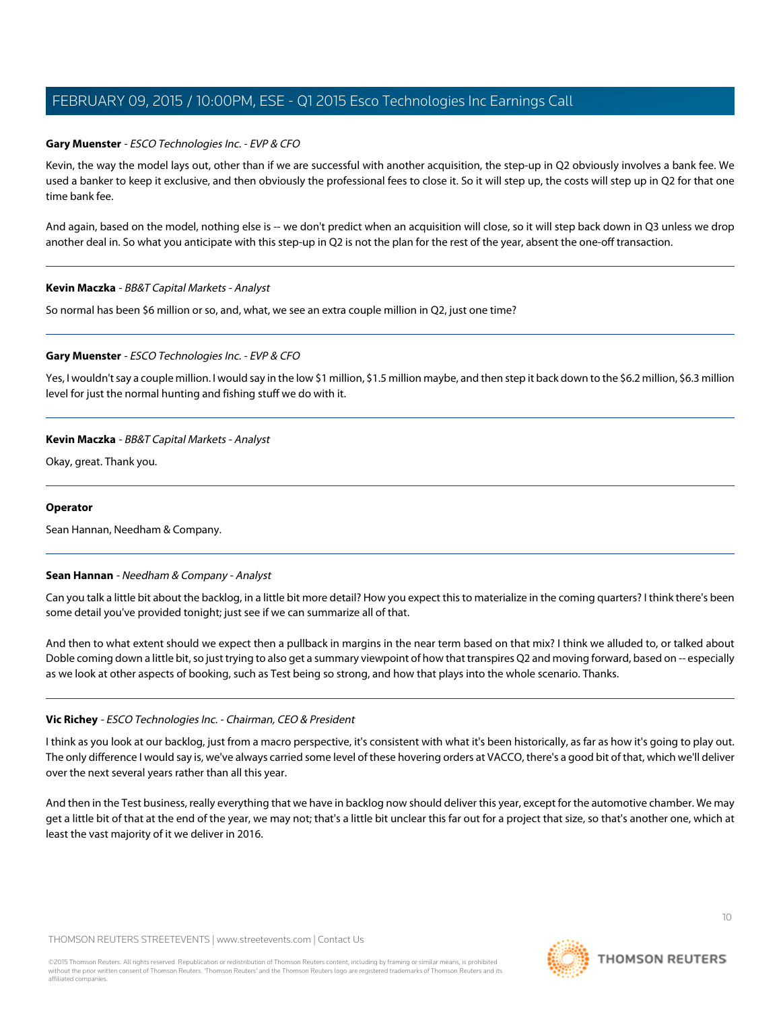## **Gary Muenster** - ESCO Technologies Inc. - EVP & CFO

Kevin, the way the model lays out, other than if we are successful with another acquisition, the step-up in Q2 obviously involves a bank fee. We used a banker to keep it exclusive, and then obviously the professional fees to close it. So it will step up, the costs will step up in Q2 for that one time bank fee.

And again, based on the model, nothing else is -- we don't predict when an acquisition will close, so it will step back down in Q3 unless we drop another deal in. So what you anticipate with this step-up in Q2 is not the plan for the rest of the year, absent the one-off transaction.

#### **Kevin Maczka** - BB&T Capital Markets - Analyst

So normal has been \$6 million or so, and, what, we see an extra couple million in Q2, just one time?

## **Gary Muenster** - ESCO Technologies Inc. - EVP & CFO

Yes, I wouldn't say a couple million. I would say in the low \$1 million, \$1.5 million maybe, and then step it back down to the \$6.2 million, \$6.3 million level for just the normal hunting and fishing stuff we do with it.

## **Kevin Maczka** - BB&T Capital Markets - Analyst

Okay, great. Thank you.

#### <span id="page-9-0"></span>**Operator**

Sean Hannan, Needham & Company.

#### **Sean Hannan** - Needham & Company - Analyst

Can you talk a little bit about the backlog, in a little bit more detail? How you expect this to materialize in the coming quarters? I think there's been some detail you've provided tonight; just see if we can summarize all of that.

And then to what extent should we expect then a pullback in margins in the near term based on that mix? I think we alluded to, or talked about Doble coming down a little bit, so just trying to also get a summary viewpoint of how that transpires Q2 and moving forward, based on -- especially as we look at other aspects of booking, such as Test being so strong, and how that plays into the whole scenario. Thanks.

#### **Vic Richey** - ESCO Technologies Inc. - Chairman, CEO & President

I think as you look at our backlog, just from a macro perspective, it's consistent with what it's been historically, as far as how it's going to play out. The only difference I would say is, we've always carried some level of these hovering orders at VACCO, there's a good bit of that, which we'll deliver over the next several years rather than all this year.

And then in the Test business, really everything that we have in backlog now should deliver this year, except for the automotive chamber. We may get a little bit of that at the end of the year, we may not; that's a little bit unclear this far out for a project that size, so that's another one, which at least the vast majority of it we deliver in 2016.

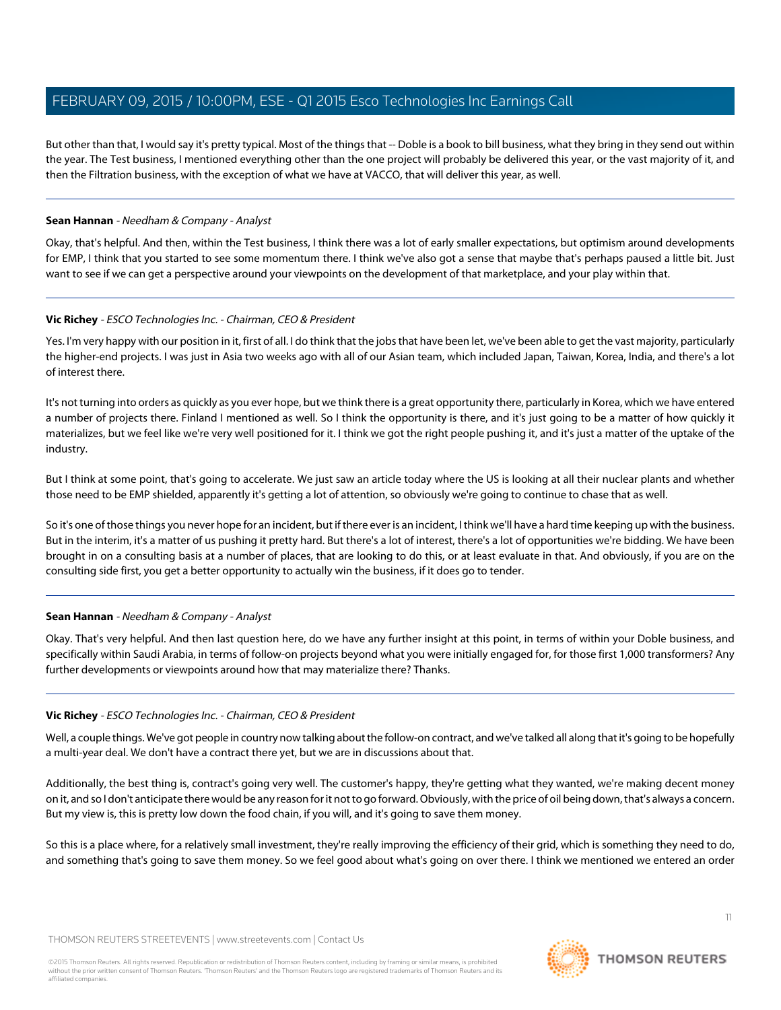But other than that, I would say it's pretty typical. Most of the things that -- Doble is a book to bill business, what they bring in they send out within the year. The Test business, I mentioned everything other than the one project will probably be delivered this year, or the vast majority of it, and then the Filtration business, with the exception of what we have at VACCO, that will deliver this year, as well.

# **Sean Hannan** - Needham & Company - Analyst

Okay, that's helpful. And then, within the Test business, I think there was a lot of early smaller expectations, but optimism around developments for EMP, I think that you started to see some momentum there. I think we've also got a sense that maybe that's perhaps paused a little bit. Just want to see if we can get a perspective around your viewpoints on the development of that marketplace, and your play within that.

## **Vic Richey** - ESCO Technologies Inc. - Chairman, CEO & President

Yes. I'm very happy with our position in it, first of all. I do think that the jobs that have been let, we've been able to get the vast majority, particularly the higher-end projects. I was just in Asia two weeks ago with all of our Asian team, which included Japan, Taiwan, Korea, India, and there's a lot of interest there.

It's not turning into orders as quickly as you ever hope, but we think there is a great opportunity there, particularly in Korea, which we have entered a number of projects there. Finland I mentioned as well. So I think the opportunity is there, and it's just going to be a matter of how quickly it materializes, but we feel like we're very well positioned for it. I think we got the right people pushing it, and it's just a matter of the uptake of the industry.

But I think at some point, that's going to accelerate. We just saw an article today where the US is looking at all their nuclear plants and whether those need to be EMP shielded, apparently it's getting a lot of attention, so obviously we're going to continue to chase that as well.

So it's one of those things you never hope for an incident, but if there ever is an incident, I think we'll have a hard time keeping up with the business. But in the interim, it's a matter of us pushing it pretty hard. But there's a lot of interest, there's a lot of opportunities we're bidding. We have been brought in on a consulting basis at a number of places, that are looking to do this, or at least evaluate in that. And obviously, if you are on the consulting side first, you get a better opportunity to actually win the business, if it does go to tender.

# **Sean Hannan** - Needham & Company - Analyst

Okay. That's very helpful. And then last question here, do we have any further insight at this point, in terms of within your Doble business, and specifically within Saudi Arabia, in terms of follow-on projects beyond what you were initially engaged for, for those first 1,000 transformers? Any further developments or viewpoints around how that may materialize there? Thanks.

#### **Vic Richey** - ESCO Technologies Inc. - Chairman, CEO & President

Well, a couple things. We've got people in country now talking about the follow-on contract, and we've talked all along that it's going to be hopefully a multi-year deal. We don't have a contract there yet, but we are in discussions about that.

Additionally, the best thing is, contract's going very well. The customer's happy, they're getting what they wanted, we're making decent money on it, and so I don't anticipate there would be any reason for it not to go forward. Obviously, with the price of oil being down, that's always a concern. But my view is, this is pretty low down the food chain, if you will, and it's going to save them money.

So this is a place where, for a relatively small investment, they're really improving the efficiency of their grid, which is something they need to do, and something that's going to save them money. So we feel good about what's going on over there. I think we mentioned we entered an order

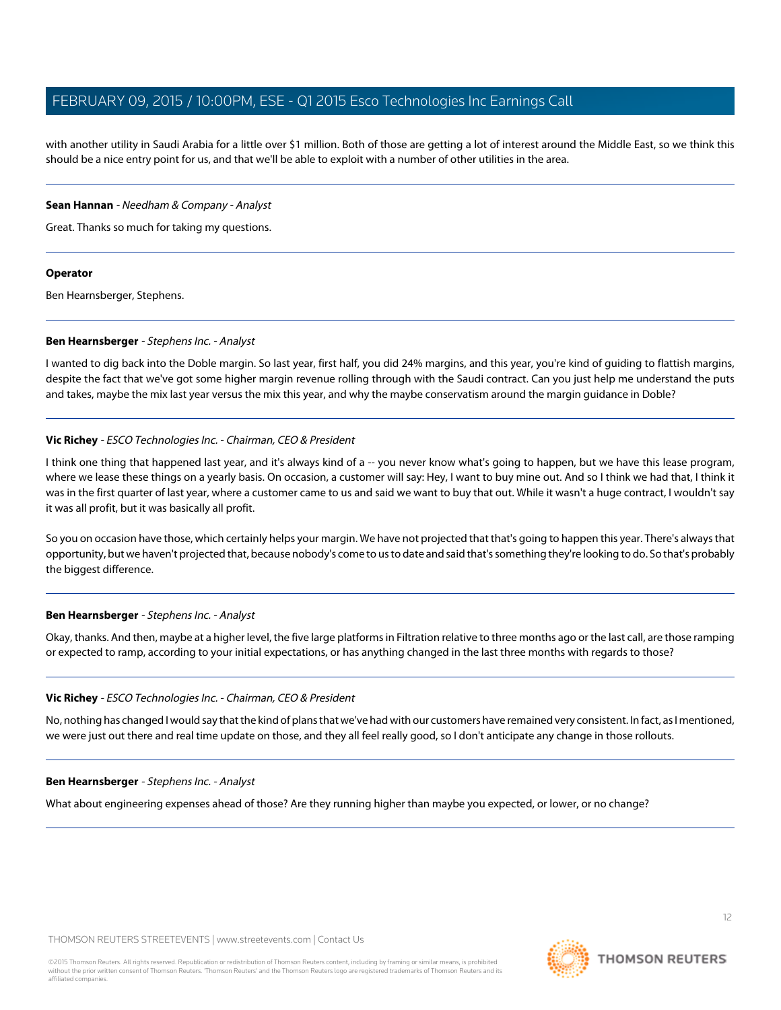with another utility in Saudi Arabia for a little over \$1 million. Both of those are getting a lot of interest around the Middle East, so we think this should be a nice entry point for us, and that we'll be able to exploit with a number of other utilities in the area.

#### **Sean Hannan** - Needham & Company - Analyst

Great. Thanks so much for taking my questions.

## **Operator**

<span id="page-11-0"></span>Ben Hearnsberger, Stephens.

## **Ben Hearnsberger** - Stephens Inc. - Analyst

I wanted to dig back into the Doble margin. So last year, first half, you did 24% margins, and this year, you're kind of guiding to flattish margins, despite the fact that we've got some higher margin revenue rolling through with the Saudi contract. Can you just help me understand the puts and takes, maybe the mix last year versus the mix this year, and why the maybe conservatism around the margin guidance in Doble?

# **Vic Richey** - ESCO Technologies Inc. - Chairman, CEO & President

I think one thing that happened last year, and it's always kind of a -- you never know what's going to happen, but we have this lease program, where we lease these things on a yearly basis. On occasion, a customer will say: Hey, I want to buy mine out. And so I think we had that, I think it was in the first quarter of last year, where a customer came to us and said we want to buy that out. While it wasn't a huge contract, I wouldn't say it was all profit, but it was basically all profit.

So you on occasion have those, which certainly helps your margin. We have not projected that that's going to happen this year. There's always that opportunity, but we haven't projected that, because nobody's come to us to date and said that's something they're looking to do. So that's probably the biggest difference.

# **Ben Hearnsberger** - Stephens Inc. - Analyst

Okay, thanks. And then, maybe at a higher level, the five large platforms in Filtration relative to three months ago or the last call, are those ramping or expected to ramp, according to your initial expectations, or has anything changed in the last three months with regards to those?

# **Vic Richey** - ESCO Technologies Inc. - Chairman, CEO & President

No, nothing has changed I would say that the kind of plans that we've had with our customers have remained very consistent. In fact, as I mentioned, we were just out there and real time update on those, and they all feel really good, so I don't anticipate any change in those rollouts.

#### **Ben Hearnsberger** - Stephens Inc. - Analyst

What about engineering expenses ahead of those? Are they running higher than maybe you expected, or lower, or no change?

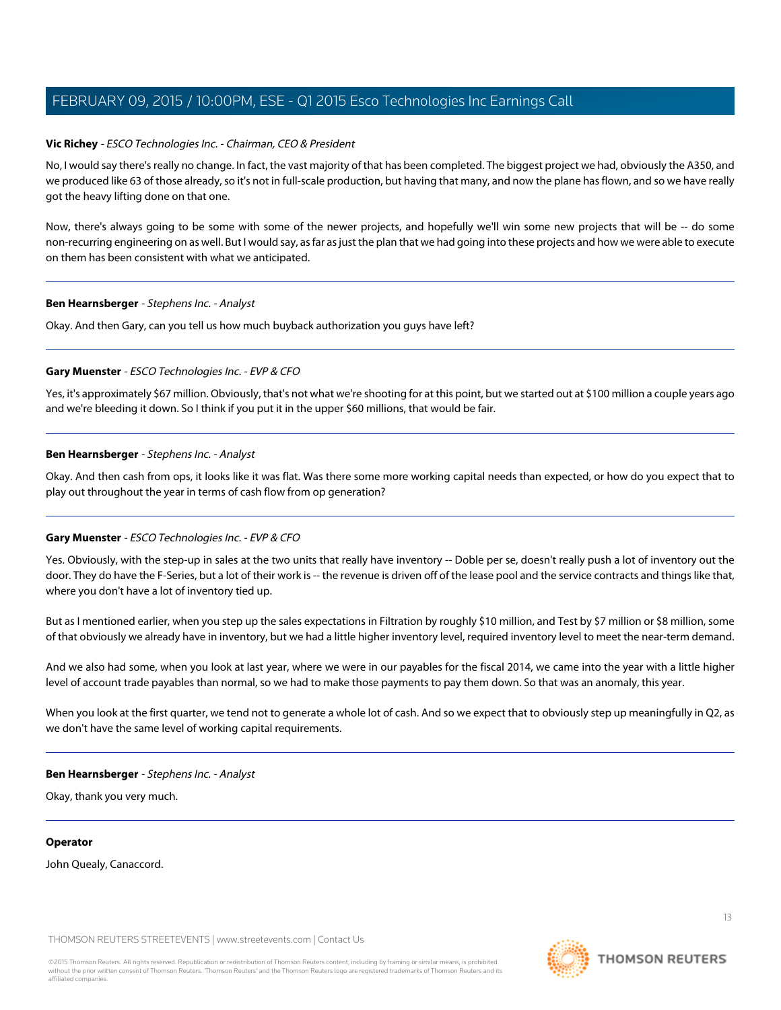## **Vic Richey** - ESCO Technologies Inc. - Chairman, CEO & President

No, I would say there's really no change. In fact, the vast majority of that has been completed. The biggest project we had, obviously the A350, and we produced like 63 of those already, so it's not in full-scale production, but having that many, and now the plane has flown, and so we have really got the heavy lifting done on that one.

Now, there's always going to be some with some of the newer projects, and hopefully we'll win some new projects that will be -- do some non-recurring engineering on as well. But I would say, as far as just the plan that we had going into these projects and how we were able to execute on them has been consistent with what we anticipated.

#### **Ben Hearnsberger** - Stephens Inc. - Analyst

Okay. And then Gary, can you tell us how much buyback authorization you guys have left?

#### **Gary Muenster** - ESCO Technologies Inc. - EVP & CFO

Yes, it's approximately \$67 million. Obviously, that's not what we're shooting for at this point, but we started out at \$100 million a couple years ago and we're bleeding it down. So I think if you put it in the upper \$60 millions, that would be fair.

## **Ben Hearnsberger** - Stephens Inc. - Analyst

Okay. And then cash from ops, it looks like it was flat. Was there some more working capital needs than expected, or how do you expect that to play out throughout the year in terms of cash flow from op generation?

#### **Gary Muenster** - ESCO Technologies Inc. - EVP & CFO

Yes. Obviously, with the step-up in sales at the two units that really have inventory -- Doble per se, doesn't really push a lot of inventory out the door. They do have the F-Series, but a lot of their work is -- the revenue is driven off of the lease pool and the service contracts and things like that, where you don't have a lot of inventory tied up.

But as I mentioned earlier, when you step up the sales expectations in Filtration by roughly \$10 million, and Test by \$7 million or \$8 million, some of that obviously we already have in inventory, but we had a little higher inventory level, required inventory level to meet the near-term demand.

And we also had some, when you look at last year, where we were in our payables for the fiscal 2014, we came into the year with a little higher level of account trade payables than normal, so we had to make those payments to pay them down. So that was an anomaly, this year.

When you look at the first quarter, we tend not to generate a whole lot of cash. And so we expect that to obviously step up meaningfully in Q2, as we don't have the same level of working capital requirements.

#### **Ben Hearnsberger** - Stephens Inc. - Analyst

Okay, thank you very much.

#### **Operator**

John Quealy, Canaccord.

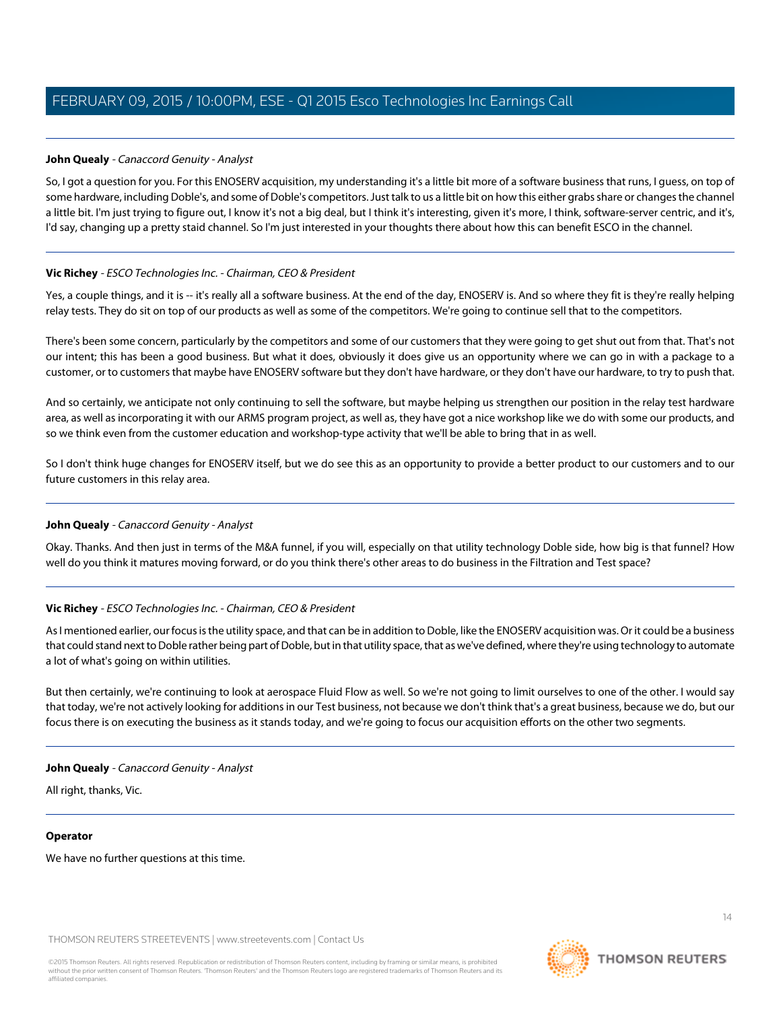# <span id="page-13-0"></span>**John Quealy** - Canaccord Genuity - Analyst

So, I got a question for you. For this ENOSERV acquisition, my understanding it's a little bit more of a software business that runs, I guess, on top of some hardware, including Doble's, and some of Doble's competitors. Just talk to us a little bit on how this either grabs share or changes the channel a little bit. I'm just trying to figure out, I know it's not a big deal, but I think it's interesting, given it's more, I think, software-server centric, and it's, I'd say, changing up a pretty staid channel. So I'm just interested in your thoughts there about how this can benefit ESCO in the channel.

# **Vic Richey** - ESCO Technologies Inc. - Chairman, CEO & President

Yes, a couple things, and it is -- it's really all a software business. At the end of the day, ENOSERV is. And so where they fit is they're really helping relay tests. They do sit on top of our products as well as some of the competitors. We're going to continue sell that to the competitors.

There's been some concern, particularly by the competitors and some of our customers that they were going to get shut out from that. That's not our intent; this has been a good business. But what it does, obviously it does give us an opportunity where we can go in with a package to a customer, or to customers that maybe have ENOSERV software but they don't have hardware, or they don't have our hardware, to try to push that.

And so certainly, we anticipate not only continuing to sell the software, but maybe helping us strengthen our position in the relay test hardware area, as well as incorporating it with our ARMS program project, as well as, they have got a nice workshop like we do with some our products, and so we think even from the customer education and workshop-type activity that we'll be able to bring that in as well.

So I don't think huge changes for ENOSERV itself, but we do see this as an opportunity to provide a better product to our customers and to our future customers in this relay area.

# **John Quealy** - Canaccord Genuity - Analyst

Okay. Thanks. And then just in terms of the M&A funnel, if you will, especially on that utility technology Doble side, how big is that funnel? How well do you think it matures moving forward, or do you think there's other areas to do business in the Filtration and Test space?

# **Vic Richey** - ESCO Technologies Inc. - Chairman, CEO & President

As I mentioned earlier, our focus is the utility space, and that can be in addition to Doble, like the ENOSERV acquisition was. Or it could be a business that could stand next to Doble rather being part of Doble, but in that utility space, that as we've defined, where they're using technology to automate a lot of what's going on within utilities.

But then certainly, we're continuing to look at aerospace Fluid Flow as well. So we're not going to limit ourselves to one of the other. I would say that today, we're not actively looking for additions in our Test business, not because we don't think that's a great business, because we do, but our focus there is on executing the business as it stands today, and we're going to focus our acquisition efforts on the other two segments.

# **John Quealy** - Canaccord Genuity - Analyst

All right, thanks, Vic.

#### **Operator**

We have no further questions at this time.



 $14$